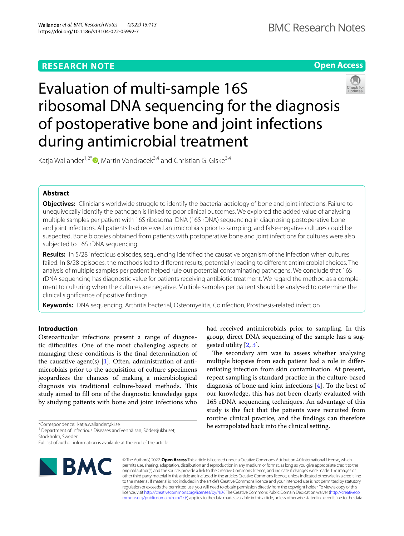# **RESEARCH NOTE**



# Evaluation of multi-sample 16S ribosomal DNA sequencing for the diagnosis of postoperative bone and joint infections during antimicrobial treatment



Katja Wallander<sup>1,2\*</sup>  $\bullet$ [,](http://orcid.org/0000-0003-0437-4854) Martin Vondracek<sup>3,4</sup> and Christian G. Giske<sup>3,4</sup>

# **Abstract**

**Objectives:** Clinicians worldwide struggle to identify the bacterial aetiology of bone and joint infections. Failure to unequivocally identify the pathogen is linked to poor clinical outcomes. We explored the added value of analysing multiple samples per patient with 16S ribosomal DNA (16S rDNA) sequencing in diagnosing postoperative bone and joint infections. All patients had received antimicrobials prior to sampling, and false-negative cultures could be suspected. Bone biopsies obtained from patients with postoperative bone and joint infections for cultures were also subjected to 16S rDNA sequencing.

**Results:** In 5/28 infectious episodes, sequencing identifed the causative organism of the infection when cultures failed. In 8/28 episodes, the methods led to diferent results, potentially leading to diferent antimicrobial choices. The analysis of multiple samples per patient helped rule out potential contaminating pathogens. We conclude that 16S rDNA sequencing has diagnostic value for patients receiving antibiotic treatment. We regard the method as a complement to culturing when the cultures are negative. Multiple samples per patient should be analysed to determine the clinical signifcance of positive fndings.

**Keywords:** DNA sequencing, Arthritis bacterial, Osteomyelitis, Coinfection, Prosthesis-related infection

# **Introduction**

Osteoarticular infections present a range of diagnostic difficulties. One of the most challenging aspects of managing these conditions is the fnal determination of the causative agent(s)  $[1]$  $[1]$ . Often, administration of antimicrobials prior to the acquisition of culture specimens jeopardizes the chances of making a microbiological diagnosis via traditional culture-based methods. This study aimed to fll one of the diagnostic knowledge gaps by studying patients with bone and joint infections who

\*Correspondence: katja.wallander@ki.se

<sup>1</sup> Department of Infectious Diseases and Venhälsan, Södersjukhuset, Stockholm, Sweden

Full list of author information is available at the end of the article



had received antimicrobials prior to sampling. In this group, direct DNA sequencing of the sample has a suggested utility [[2,](#page-5-1) [3](#page-5-2)].

The secondary aim was to assess whether analysing multiple biopsies from each patient had a role in diferentiating infection from skin contamination. At present, repeat sampling is standard practice in the culture-based diagnosis of bone and joint infections [\[4](#page-5-3)]. To the best of our knowledge, this has not been clearly evaluated with 16S rDNA sequencing techniques. An advantage of this study is the fact that the patients were recruited from routine clinical practice, and the fndings can therefore be extrapolated back into the clinical setting.

© The Author(s) 2022. **Open Access** This article is licensed under a Creative Commons Attribution 4.0 International License, which permits use, sharing, adaptation, distribution and reproduction in any medium or format, as long as you give appropriate credit to the original author(s) and the source, provide a link to the Creative Commons licence, and indicate if changes were made. The images or other third party material in this article are included in the article's Creative Commons licence, unless indicated otherwise in a credit line to the material. If material is not included in the article's Creative Commons licence and your intended use is not permitted by statutory regulation or exceeds the permitted use, you will need to obtain permission directly from the copyright holder. To view a copy of this licence, visit [http://creativecommons.org/licenses/by/4.0/.](http://creativecommons.org/licenses/by/4.0/) The Creative Commons Public Domain Dedication waiver ([http://creativeco](http://creativecommons.org/publicdomain/zero/1.0/) [mmons.org/publicdomain/zero/1.0/](http://creativecommons.org/publicdomain/zero/1.0/)) applies to the data made available in this article, unless otherwise stated in a credit line to the data.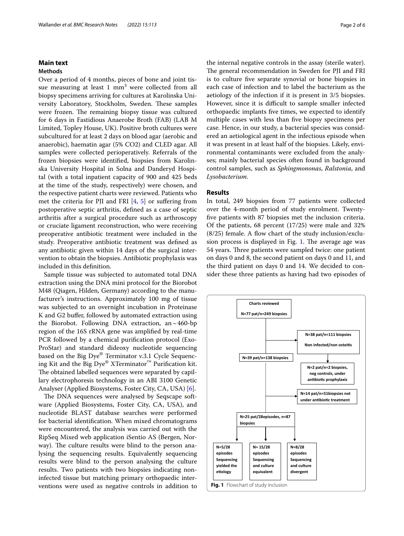# **Main text**

#### **Methods**

Over a period of 4 months, pieces of bone and joint tissue measuring at least  $1 \text{ mm}^3$  were collected from all biopsy specimens arriving for cultures at Karolinska University Laboratory, Stockholm, Sweden. These samples were frozen. The remaining biopsy tissue was cultured for 6 days in Fastidious Anaerobe Broth (FAB) (LAB M Limited, Topley House, UK). Positive broth cultures were subcultured for at least 2 days on blood agar (aerobic and anaerobic), haematin agar (5% CO2) and CLED agar. All samples were collected perioperatively. Referrals of the frozen biopsies were identifed, biopsies from Karolinska University Hospital in Solna and Danderyd Hospital (with a total inpatient capacity of 900 and 425 beds at the time of the study, respectively) were chosen, and the respective patient charts were reviewed. Patients who met the criteria for PJI and FRI [\[4](#page-5-3), [5](#page-5-4)] or sufering from postoperative septic arthritis, defned as a case of septic arthritis after a surgical procedure such as arthroscopy or cruciate ligament reconstruction, who were receiving preoperative antibiotic treatment were included in the study. Preoperative antibiotic treatment was defned as any antibiotic given within 14 days of the surgical intervention to obtain the biopsies. Antibiotic prophylaxis was included in this defnition.

Sample tissue was subjected to automated total DNA extraction using the DNA mini protocol for the Biorobot M48 (Qiagen, Hilden, Germany) according to the manufacturer's instructions. Approximately 100 mg of tissue was subjected to an overnight incubation in Proteinase K and G2 bufer, followed by automated extraction using the Biorobot. Following DNA extraction, an $\sim$ 460-bp region of the 16S rRNA gene was amplifed by real-time PCR followed by a chemical purifcation protocol (Exo-ProStar) and standard dideoxy nucleotide sequencing based on the Big Dye® Terminator v.3.1 Cycle Sequencing Kit and the Big Dye® XTerminator<sup>™</sup> Purification kit. The obtained labelled sequences were separated by capillary electrophoresis technology in an ABI 3100 Genetic Analyser (Applied Biosystems, Foster City, CA, USA) [[6\]](#page-5-5).

<span id="page-1-0"></span>The DNA sequences were analysed by Seqscape software (Applied Biosystems, Foster City, CA, USA), and nucleotide BLAST database searches were performed for bacterial identifcation. When mixed chromatograms were encountered, the analysis was carried out with the RipSeq Mixed web application iSentio AS (Bergen, Norway). The culture results were blind to the person analysing the sequencing results. Equivalently sequencing results were blind to the person analysing the culture results. Two patients with two biopsies indicating noninfected tissue but matching primary orthopaedic interventions were used as negative controls in addition to the internal negative controls in the assay (sterile water). The general recommendation in Sweden for PJI and FRI is to culture fve separate synovial or bone biopsies in each case of infection and to label the bacterium as the aetiology of the infection if it is present in 3/5 biopsies. However, since it is difficult to sample smaller infected orthopaedic implants fve times, we expected to identify multiple cases with less than fve biopsy specimens per case. Hence, in our study, a bacterial species was considered an aetiological agent in the infectious episode when it was present in at least half of the biopsies. Likely, environmental contaminants were excluded from the analyses; mainly bacterial species often found in background control samples, such as *Sphingmononas*, *Ralstonia*, and *Lysobacterium*.

### **Results**

In total, 249 biopsies from 77 patients were collected over the 4-month period of study enrolment. Twentyfve patients with 87 biopsies met the inclusion criteria. Of the patients, 68 percent (17/25) were male and 32%  $(8/25)$  female. A flow chart of the study inclusion/exclu-sion process is displayed in Fig. [1.](#page-1-0) The average age was 54 years. Three patients were sampled twice: one patient on days 0 and 8, the second patient on days 0 and 11, and the third patient on days 0 and 14. We decided to consider these three patients as having had two episodes of

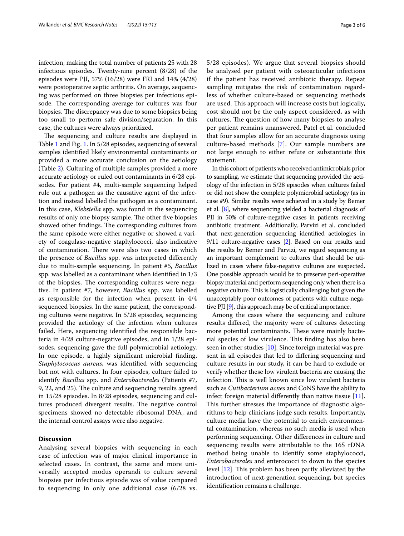infection, making the total number of patients 25 with 28 infectious episodes. Twenty-nine percent (8/28) of the episodes were PJI, 57% (16/28) were FRI and 14% (4/28) were postoperative septic arthritis. On average, sequencing was performed on three biopsies per infectious episode. The corresponding average for cultures was four biopsies. The discrepancy was due to some biopsies being too small to perform safe division/separation. In this case, the cultures were always prioritized.

The sequencing and culture results are displayed in Table [1](#page-3-0) and Fig. [1.](#page-1-0) In 5/28 episodes, sequencing of several samples identifed likely environmental contaminants or provided a more accurate conclusion on the aetiology (Table [2\)](#page-4-0). Culturing of multiple samples provided a more accurate aetiology or ruled out contaminants in 6/28 episodes. For patient #4, multi-sample sequencing helped rule out a pathogen as the causative agent of the infection and instead labelled the pathogen as a contaminant. In this case, *Klebsiella* spp. was found in the sequencing results of only one biopsy sample. The other five biopsies showed other findings. The corresponding cultures from the same episode were either negative or showed a variety of coagulase-negative staphylococci, also indicative of contamination. There were also two cases in which the presence of *Bacillus* spp. was interpreted diferently due to multi-sample sequencing. In patient #5, *Bacillus*  spp. was labelled as a contaminant when identifed in 1/3 of the biopsies. The corresponding cultures were negative. In patient #7, however, *Bacillus* spp. was labelled as responsible for the infection when present in 4/4 sequenced biopsies. In the same patient, the corresponding cultures were negative. In 5/28 episodes, sequencing provided the aetiology of the infection when cultures failed. Here, sequencing identifed the responsible bacteria in 4/28 culture-negative episodes, and in 1/28 episodes, sequencing gave the full polymicrobial aetiology. In one episode, a highly signifcant microbial fnding, *Staphylococcus aureus*, was identifed with sequencing but not with cultures. In four episodes, culture failed to identify *Bacillus* spp. and *Enterobacterales* (Patients #7, 9, 22, and 25). The culture and sequencing results agreed in 15/28 episodes. In 8/28 episodes, sequencing and cultures produced divergent results. The negative control specimens showed no detectable ribosomal DNA, and the internal control assays were also negative.

## **Discussion**

Analysing several biopsies with sequencing in each case of infection was of major clinical importance in selected cases. In contrast, the same and more universally accepted modus operandi to culture several biopsies per infectious episode was of value compared to sequencing in only one additional case (6/28 vs. 5/28 episodes). We argue that several biopsies should be analysed per patient with osteoarticular infections if the patient has received antibiotic therapy. Repeat sampling mitigates the risk of contamination regardless of whether culture-based or sequencing methods are used. This approach will increase costs but logically, cost should not be the only aspect considered, as with cultures. The question of how many biopsies to analyse per patient remains unanswered. Patel et al. concluded that four samples allow for an accurate diagnosis using culture-based methods [[7](#page-5-6)]. Our sample numbers are not large enough to either refute or substantiate this statement.

In this cohort of patients who received antimicrobials prior to sampling, we estimate that sequencing provided the aetiology of the infection in 5/28 episodes when cultures failed or did not show the complete polymicrobial aetiology (as in case #9). Similar results were achieved in a study by Bemer et al. [\[8\]](#page-5-7), where sequencing yielded a bacterial diagnosis of PJI in 50% of culture-negative cases in patients receiving antibiotic treatment. Additionally, Parvizi et al. concluded that next-generation sequencing identifed aetiologies in 9/11 culture-negative cases [[2](#page-5-1)]. Based on our results and the results by Bemer and Parvizi, we regard sequencing as an important complement to cultures that should be utilized in cases where false-negative cultures are suspected. One possible approach would be to preserve peri-operative biopsy material and perform sequencing only when there is a negative culture. This is logistically challenging but given the unacceptably poor outcomes of patients with culture-negative PJI [\[9\]](#page-5-8), this approach may be of critical importance.

Among the cases where the sequencing and culture results difered, the majority were of cultures detecting more potential contaminants. These were mainly bacterial species of low virulence. This finding has also been seen in other studies [\[10](#page-5-9)]. Since foreign material was present in all episodes that led to difering sequencing and culture results in our study, it can be hard to exclude or verify whether these low virulent bacteria are causing the infection. This is well known since low virulent bacteria such as *Cutibacterium acnes* and CoNS have the ability to infect foreign material differently than native tissue  $[11]$  $[11]$ . This further stresses the importance of diagnostic algorithms to help clinicians judge such results. Importantly, culture media have the potential to enrich environmental contamination, whereas no such media is used when performing sequencing. Other diferences in culture and sequencing results were attributable to the 16S rDNA method being unable to identify some staphylococci, *Enterobacterales* and enterococci to down to the species level  $[12]$  $[12]$ . This problem has been partly alleviated by the introduction of next-generation sequencing, but species identifcation remains a challenge.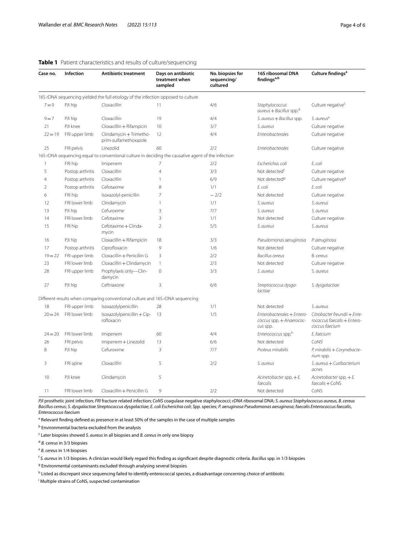| Case no.       | Infection        | <b>Antibiotic treatment</b>                                                                        | Days on antibiotic<br>treatment when<br>sampled | No. biopsies for<br>sequencing/<br>cultured | 16S ribosomal DNA<br>findings <sup>a,b</sup>                       | Culture findings <sup>a</sup>                                                 |
|----------------|------------------|----------------------------------------------------------------------------------------------------|-------------------------------------------------|---------------------------------------------|--------------------------------------------------------------------|-------------------------------------------------------------------------------|
|                |                  | 16S rDNA sequencing yielded the full etiology of the infection opposed to culture                  |                                                 |                                             |                                                                    |                                                                               |
| $7 = 9$        | PJI hip          | Cloxacillin                                                                                        | 11                                              | 4/6                                         | Staphylococcus<br>aureus + Bacillus spp. <sup>d</sup>              | Culture negative <sup>c</sup>                                                 |
| $9 = 7$        | PJI hip          | Cloxacillin                                                                                        | 19                                              | 4/4                                         | S. aureus + Bacillus spp.                                          | S. aureus <sup>e</sup>                                                        |
| 21             | PJI knee         | Cloxacillin + Rifampicin                                                                           | 10                                              | 3/7                                         | S. aureus                                                          | Culture negative                                                              |
| $22 = 19$      | FRI upper limb   | Clindamycin + Trimetho-<br>prim-sulfamethoxazole                                                   | 12                                              | 4/4                                         | Enterobacterales                                                   | Culture negative                                                              |
| 25             | FRI pelvis       | Linezolid                                                                                          | 60                                              | 2/2                                         | Enterobacterales                                                   | Culture negative                                                              |
|                |                  | 16S rDNA sequencing equal to conventional culture in deciding the causative agent of the infection |                                                 |                                             |                                                                    |                                                                               |
| $\mathbf{1}$   | FRI hip          | Imipenem                                                                                           | 7                                               | 2/2                                         | Escherichia, coli                                                  | E. coli                                                                       |
| 5              | Postop arthritis | Cloxacillin                                                                                        | 4                                               | 3/3                                         | Not detected <sup>f</sup>                                          | Culture negative                                                              |
| $\overline{4}$ | Postop arthritis | Cloxacillin                                                                                        | 1                                               | 6/9                                         | Not detected <sup>9</sup>                                          | Culture negative <sup>9</sup>                                                 |
| $\overline{2}$ | Postop arthritis | Cefotaxime                                                                                         | 8                                               | 1/1                                         | E. coli                                                            | E. coli                                                                       |
| 6              | FRI hip          | Isoxazolyl-penicillin                                                                              | $\overline{7}$                                  | $-2/2$                                      | Not detected                                                       | Culture negative                                                              |
| 12             | FRI lower limb   | Clindamycin                                                                                        | 1                                               | 1/1                                         | S. aureus                                                          | S. aureus                                                                     |
| 13             | PJI hip          | Cefuroxime                                                                                         | 3                                               | 7/7                                         | S. aureus                                                          | S. aureus                                                                     |
| 14             | FRI lower limb   | Cefotaxime                                                                                         | 3                                               | 1/1                                         | Not detected                                                       | Culture negative                                                              |
| 15             | FRI hip          | Cefotaxime + Clinda-<br>mycin                                                                      | $\overline{2}$                                  | 5/5                                         | S. aureus                                                          | S. aureus                                                                     |
| 16             | PJI hip          | Cloxacillin + Rifampicin                                                                           | 18                                              | 3/3                                         | Pseudomonas aeruginosa                                             | P. aeruginosa                                                                 |
| 17             | Postop arthritis | Ciprofloxacin                                                                                      | 9                                               | 1/6                                         | Not detected                                                       | Culture negative                                                              |
| $19 = 22$      | FRI upper limb   | Cloxacillin + Penicillin G                                                                         | 3                                               | 2/2                                         | <b>Bacillus cereus</b>                                             | B. cereus                                                                     |
| 23             | FRI lower limb   | Cloxacillin + Clindamycin                                                                          | 1                                               | 2/3                                         | Not detected                                                       | Culture negative                                                              |
| 28             | FRI upper limb   | Prophylaxis only-Clin-<br>damycin                                                                  | 0                                               | 3/3                                         | S. aureus                                                          | S. aureus                                                                     |
| 27             | PJI hip          | Ceftriaxone                                                                                        | 3                                               | 6/6                                         | Streptococcus dysga-<br>lactiae                                    | S. dysgalactiae                                                               |
|                |                  | Different results when comparing conventional culture and 16S rDNA sequencing                      |                                                 |                                             |                                                                    |                                                                               |
| 18             | FRI upper limb   | Isoxazolylpenicillin                                                                               | 28                                              | 1/1                                         | Not detected                                                       | S. aureus                                                                     |
| $20 = 24$      | FRI lower limb   | Isoxazolylpenicillin + Cip-<br>rofloxacin                                                          | 13                                              | 1/5                                         | Enterobacterales + Entero-<br>coccus spp. + Anaerococ-<br>cus spp. | Citrobacter freundii + Ente-<br>rococcus faecalis + Entero-<br>coccus faecium |
| $24 = 20$      | FRI lower limb   | Imipenem                                                                                           | 60                                              | 4/4                                         | Enterococcus spp. <sup>h</sup>                                     | E. faecium                                                                    |
| 26             | FRI pelvis       | Imipenem + Linezolid                                                                               | 13                                              | 6/6                                         | Not detected                                                       | CoNS                                                                          |
| 8              | PJI hip          | Cefuroxime                                                                                         | 3                                               | 7/7                                         | Proteus mirabilis                                                  | P. mirabilis + Corynebacte-<br>rium spp.                                      |
| 3              | FRI spine        | Cloxacillin                                                                                        | 5                                               | 2/2                                         | S. aureus                                                          | S. aureus + Cutibacterium<br>acnes                                            |
| 10             | PJI knee         | Clindamycin                                                                                        | 5                                               |                                             | Acinetobacter spp. $+E$ .<br>faecalis                              | Acinetobacter spp. $+E$ .<br>$faecalis + CoNS$                                |
| 11             | FRI lower limb   | Cloxacillin + Penicillin G                                                                         | 9                                               | 2/2                                         | Not detected                                                       | CoNS                                                                          |

#### <span id="page-3-0"></span>**Table 1** Patient characteristics and results of culture/sequencing

*PJI* prosthetic joint infection; *FRI* fracture related infection; *CoNS* coagulase negative staphylococci; *rDNA* ribosomal DNA; *S. aureus Staphylococcus aureus*, *B. cereus Bacillus cereus*; *S. dysgalactiae Streptococcus dysgalactiae*; *E. coli Escherichia coli*; *Spp.* species; *P. aeruginosa Pseudomonas aeruginosa*; *faecalis Enterococcus faecalis*, *Enterococcus faecium*

<sup>a</sup> Relevant finding defined as presence in at least 50% of the samples in the case of multiple samples

**b** Environmental bacteria excluded from the analysis

c Later biopsies showed *S. aureus* in all biopsies and *B. cereus* in only one biopsy

<sup>d</sup> *B.* c*ereus* in 3/3 biopsies

<sup>e</sup> *B. cereus* in 1/4 biopsies

<sup>f</sup> *S. aureus* in 1/3 biopsies. A clinician would likely regard this fnding as signifcant despite diagnostic criteria. *Bacillus* spp. in 1/3 biopsies

<sup>g</sup> Environmental contaminants excluded through analysing several biopsies

<sup>h</sup> Listed as discrepant since sequencing failed to identify enterococcal species, a disadvantage concerning choice of antibiotic

i Multiple strains of CoNS, suspected contamination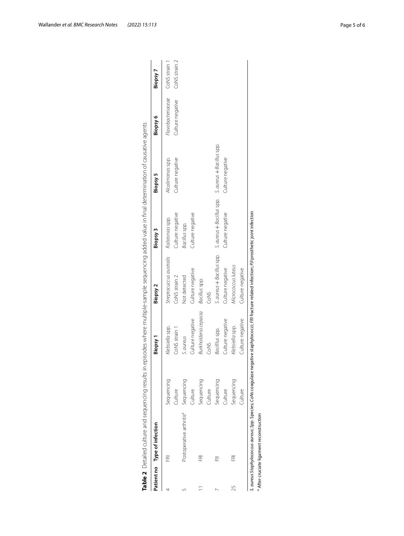|    | Patient no Type of infection         |                | Biopsy <sub>1</sub>         | Biopsy 2                  | Biopsy 3                                            | Biopsy 5         | Biopsy 6          | Biopsy 7      |
|----|--------------------------------------|----------------|-----------------------------|---------------------------|-----------------------------------------------------|------------------|-------------------|---------------|
|    | Œ                                    | Sequencing     | Klebsiella spp.             | Streptocuccus australis   | Ralstonias spp.                                     | Alcalimonas spp. | Flavobacteriaceae | CoNS strain 1 |
|    |                                      | Culture        | CoNS strain 1               | CoNS strain 2             | Culture negative                                    | Culture negative | Culture negative  | CoNS strain 2 |
|    | Postoperative arthritis <sup>a</sup> | Sequencing     | S. aureus                   | Not detected              | Bacillus spp.                                       |                  |                   |               |
|    |                                      | Culture        | Culture negative            | Culture negative          | Culture negative                                    |                  |                   |               |
|    | Œ                                    | Sequencing     | <b>Burkholderia</b> cepacia | Bacillus spp.             |                                                     |                  |                   |               |
|    |                                      | <b>Culture</b> | CoNS                        | CoNS                      |                                                     |                  |                   |               |
|    | 들                                    | Sequencing     | Bacilllus spp.              | S. aureus + Bacillus spp. | S. aureus + Bacillus spp. S. aureus + Bacillus spp. |                  |                   |               |
|    |                                      | <b>Julture</b> | Culture negative            | Culture negative          | Culture negative                                    | Culture negative |                   |               |
| 25 | 窋                                    | Sequencing     | Klebsiella spp.             | Micrococcus luteus        |                                                     |                  |                   |               |
|    |                                      | Culture        | Culture negative            | Culture negative          |                                                     |                  |                   |               |

<span id="page-4-0"></span>